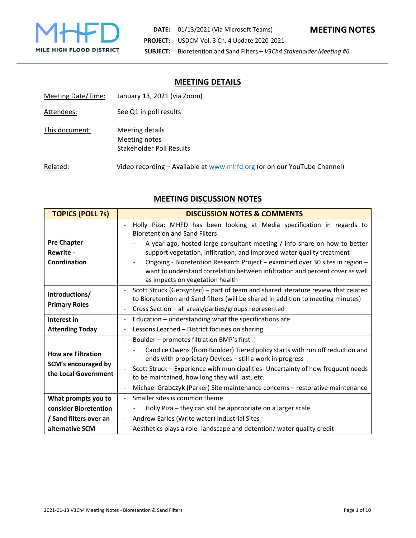

### **MEETING DETAILS**

| Meeting Date/Time: | January 13, 2021 (via Zoom)                                             |
|--------------------|-------------------------------------------------------------------------|
| Attendees:         | See Q1 in poll results                                                  |
| This document:     | Meeting details<br>Meeting notes<br><b>Stakeholder Poll Results</b>     |
| Related:           | Video recording – Available at www.mhfd.org (or on our YouTube Channel) |

# **MEETING DISCUSSION NOTES**

| <b>TOPICS (POLL ?s)</b>    | <b>DISCUSSION NOTES &amp; COMMENTS</b>                                                                                                   |  |  |
|----------------------------|------------------------------------------------------------------------------------------------------------------------------------------|--|--|
|                            | Holly Piza: MHFD has been looking at Media specification in regards to<br><b>Bioretention and Sand Filters</b>                           |  |  |
| <b>Pre Chapter</b>         | A year ago, hosted large consultant meeting / info share on how to better                                                                |  |  |
| <b>Rewrite -</b>           | support vegetation, infiltration, and improved water quality treatment                                                                   |  |  |
| Coordination               | Ongoing - Bioretention Research Project - examined over 30 sites in region -                                                             |  |  |
|                            | want to understand correlation between infiltration and percent cover as well<br>as impacts on vegetation health                         |  |  |
| Introductions/             | Scott Struck (Geosyntec) - part of team and shared literature review that related                                                        |  |  |
|                            | to Bioretention and Sand filters (will be shared in addition to meeting minutes)                                                         |  |  |
| <b>Primary Roles</b>       | Cross Section - all areas/parties/groups represented<br>$\blacksquare$                                                                   |  |  |
| Interest in                | Education - understanding what the specifications are<br>$\overline{\phantom{a}}$                                                        |  |  |
| <b>Attending Today</b>     | Lessons Learned - District focuses on sharing<br>$\blacksquare$                                                                          |  |  |
|                            | Boulder - promotes filtration BMP's first                                                                                                |  |  |
| <b>How are Filtration</b>  | Candice Owens (from Boulder) Tiered policy starts with run off reduction and<br>ends with proprietary Devices - still a work in progress |  |  |
| <b>SCM's encouraged by</b> | Scott Struck – Experience with municipalities- Uncertainty of how frequent needs                                                         |  |  |
| the Local Government       | to be maintained, how long they will last, etc.                                                                                          |  |  |
|                            | Michael Grabczyk (Parker) Site maintenance concerns - restorative maintenance<br>$\overline{\phantom{a}}$                                |  |  |
| What prompts you to        | Smaller sites is common theme<br>$\blacksquare$                                                                                          |  |  |
| consider Bioretention      | Holly Piza – they can still be appropriate on a larger scale                                                                             |  |  |
| / Sand filters over an     | Andrew Earles (Write water) Industrial Sites                                                                                             |  |  |
| alternative SCM            | Aesthetics plays a role-landscape and detention/ water quality credit                                                                    |  |  |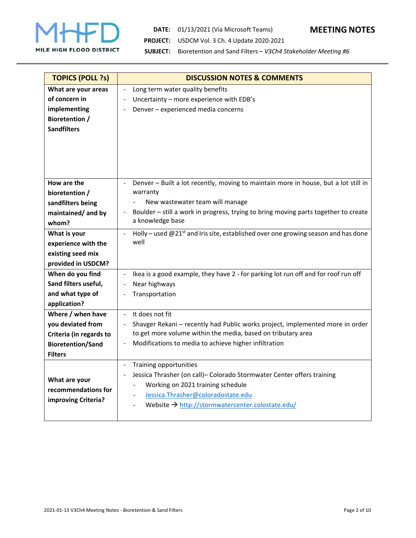

# **DATE:**  01/13/2021 (Via Microsoft Teams) **MEETING NOTES PROJECT:**  USDCM Vol. 3 Ch. 4 Update 2020‐2021



**SUBJECT:**  Bioretention and Sand Filters – *V3Ch4 Stakeholder Meeting #6*

| <b>TOPICS (POLL ?s)</b>  | <b>DISCUSSION NOTES &amp; COMMENTS</b>                                                                          |
|--------------------------|-----------------------------------------------------------------------------------------------------------------|
| What are your areas      | Long term water quality benefits<br>$\blacksquare$                                                              |
| of concern in            | Uncertainty - more experience with EDB's<br>$\ddot{\phantom{1}}$                                                |
| implementing             | Denver - experienced media concerns<br>$\overline{\phantom{a}}$                                                 |
| <b>Bioretention /</b>    |                                                                                                                 |
| <b>Sandfilters</b>       |                                                                                                                 |
|                          |                                                                                                                 |
|                          |                                                                                                                 |
|                          |                                                                                                                 |
|                          |                                                                                                                 |
| How are the              | Denver - Built a lot recently, moving to maintain more in house, but a lot still in<br>$\overline{\phantom{0}}$ |
| bioretention /           | warranty                                                                                                        |
| sandfilters being        | New wastewater team will manage<br>$\blacksquare$                                                               |
| maintained/ and by       | Boulder - still a work in progress, trying to bring moving parts together to create<br>$\overline{\phantom{a}}$ |
| whom?                    | a knowledge base                                                                                                |
| What is your             | Holly – used $@21^{st}$ and Iris site, established over one growing season and has done<br>$\Box$               |
| experience with the      | well                                                                                                            |
| existing seed mix        |                                                                                                                 |
| provided in USDCM?       |                                                                                                                 |
| When do you find         | Ikea is a good example, they have 2 - for parking lot run off and for roof run off<br>$\blacksquare$            |
| Sand filters useful,     | Near highways<br>$\blacksquare$                                                                                 |
| and what type of         | Transportation                                                                                                  |
| application?             |                                                                                                                 |
| Where / when have        | It does not fit<br>$\omega$                                                                                     |
| you deviated from        | Shavger Rekani - recently had Public works project, implemented more in order<br>$\Box$                         |
| Criteria (in regards to  | to get more volume within the media, based on tributary area                                                    |
| <b>Bioretention/Sand</b> | Modifications to media to achieve higher infiltration<br>÷,                                                     |
| <b>Filters</b>           |                                                                                                                 |
|                          | Training opportunities<br>$\blacksquare$                                                                        |
| What are your            | Jessica Thrasher (on call)- Colorado Stormwater Center offers training<br>$\overline{\phantom{0}}$              |
| recommendations for      | Working on 2021 training schedule                                                                               |
| improving Criteria?      | Jessica.Thrasher@coloradostate.edu<br>$\blacksquare$                                                            |
|                          | Website $\rightarrow$ http://stormwatercenter.colostate.edu/                                                    |
|                          |                                                                                                                 |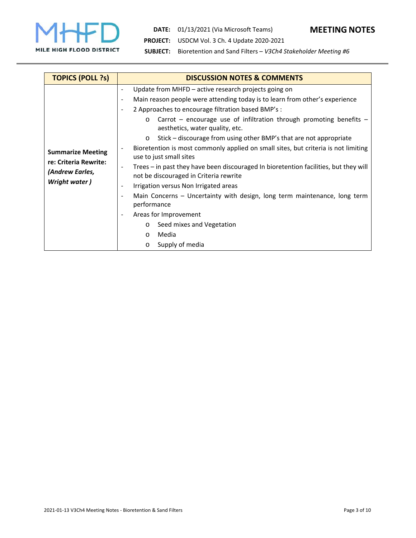

**DATE:**  01/13/2021 (Via Microsoft Teams) **MEETING NOTES**

**PROJECT:**  USDCM Vol. 3 Ch. 4 Update 2020‐2021

**SUBJECT:**  Bioretention and Sand Filters – *V3Ch4 Stakeholder Meeting #6*

| <b>TOPICS (POLL ?s)</b>                                                               | <b>DISCUSSION NOTES &amp; COMMENTS</b>                                                                                                                                                                                                                                                                                                                                                                                                                                                                                                                                                                                                                                                                                                                                                                                                                                                                                                                                                                                                                                                         |  |  |
|---------------------------------------------------------------------------------------|------------------------------------------------------------------------------------------------------------------------------------------------------------------------------------------------------------------------------------------------------------------------------------------------------------------------------------------------------------------------------------------------------------------------------------------------------------------------------------------------------------------------------------------------------------------------------------------------------------------------------------------------------------------------------------------------------------------------------------------------------------------------------------------------------------------------------------------------------------------------------------------------------------------------------------------------------------------------------------------------------------------------------------------------------------------------------------------------|--|--|
| <b>Summarize Meeting</b><br>re: Criteria Rewrite:<br>(Andrew Earles,<br>Wright water) | Update from MHFD - active research projects going on<br>Main reason people were attending today is to learn from other's experience<br>2 Approaches to encourage filtration based BMP's :<br>$\qquad \qquad \blacksquare$<br>Carrot – encourage use of infiltration through promoting benefits –<br>$\circ$<br>aesthetics, water quality, etc.<br>Stick – discourage from using other BMP's that are not appropriate<br>$\circ$<br>Bioretention is most commonly applied on small sites, but criteria is not limiting<br>$\qquad \qquad \blacksquare$<br>use to just small sites<br>Trees - in past they have been discouraged In bioretention facilities, but they will<br>$\overline{\phantom{a}}$<br>not be discouraged in Criteria rewrite<br>Irrigation versus Non Irrigated areas<br>$\qquad \qquad \blacksquare$<br>Main Concerns - Uncertainty with design, long term maintenance, long term<br>$\overline{\phantom{a}}$<br>performance<br>Areas for Improvement<br>$\overline{\phantom{a}}$<br>Seed mixes and Vegetation<br>$\circ$<br>Media<br>$\circ$<br>Supply of media<br>$\circ$ |  |  |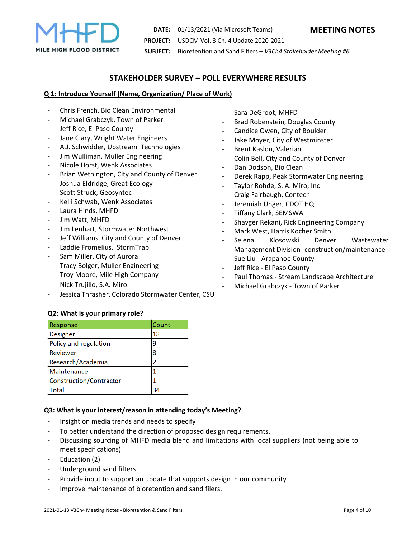

**DATE:**  01/13/2021 (Via Microsoft Teams) **MEETING NOTES PROJECT:**  USDCM Vol. 3 Ch. 4 Update 2020‐2021 **SUBJECT:**  Bioretention and Sand Filters – *V3Ch4 Stakeholder Meeting #6*

## **STAKEHOLDER SURVEY – POLL EVERYWHERE RESULTS**

#### **Q 1: Introduce Yourself (Name, Organization/ Place of Work)**

- ‐ Chris French, Bio Clean Environmental
- ‐ Michael Grabczyk, Town of Parker
- Jeff Rice, El Paso County
- Jane Clary, Wright Water Engineers
- ‐ A.J. Schwidder, Upstream Technologies
- ‐ Jim Wulliman, Muller Engineering
- ‐ Nicole Horst, Wenk Associates
- ‐ Brian Wethington, City and County of Denver
- ‐ Joshua Eldridge, Great Ecology
- Scott Struck, Geosyntec
- ‐ Kelli Schwab, Wenk Associates
- ‐ Laura Hinds, MHFD
- Jim Watt, MHFD
- ‐ Jim Lenhart, Stormwater Northwest
- Jeff Williams, City and County of Denver
- ‐ Laddie Fromelius, StormTrap
- Sam Miller, City of Aurora
- ‐ Tracy Bolger, Muller Engineering
- ‐ Troy Moore, Mile High Company
- ‐ Nick Trujillo, S.A. Miro
- Jessica Thrasher, Colorado Stormwater Center, CSU

#### **Q2: What is your primary role?**

| Response                | Count |
|-------------------------|-------|
| <b>Designer</b>         | 13    |
| Policy and regulation   | q     |
| <b>Reviewer</b>         | 8     |
| Research/Academia       | 2     |
| Maintenance             |       |
| Construction/Contractor |       |
| Total                   |       |

#### **Q3: What is your interest/reason in attending today's Meeting?**

- ‐ Insight on media trends and needs to specify
- ‐ To better understand the direction of proposed design requirements.
- ‐ Discussing sourcing of MHFD media blend and limitations with local suppliers (not being able to meet specifications)
- ‐ Education (2)
- ‐ Underground sand filters
- Provide input to support an update that supports design in our community
- Improve maintenance of bioretention and sand filers.
- Sara DeGroot, MHFD
- ‐ Brad Robenstein, Douglas County
- ‐ Candice Owen, City of Boulder
- Jake Moyer, City of Westminster
- ‐ Brent Kaslon, Valerian
- ‐ Colin Bell, City and County of Denver
- ‐ Dan Dodson, Bio Clean
- ‐ Derek Rapp, Peak Stormwater Engineering
- ‐ Taylor Rohde, S. A. Miro, Inc
- ‐ Craig Fairbaugh, Contech
- ‐ Jeremiah Unger, CDOT HQ
- ‐ Tiffany Clark, SEMSWA
- ‐ Shavger Rekani, Rick Engineering Company
- ‐ Mark West, Harris Kocher Smith
- ‐ Selena Klosowski Denver Wastewater Management Division‐ construction/maintenance
- ‐ Sue Liu ‐ Arapahoe County
- ‐ Jeff Rice ‐ El Paso County
- ‐ Paul Thomas ‐ Stream Landscape Architecture
- ‐ Michael Grabczyk ‐ Town of Parker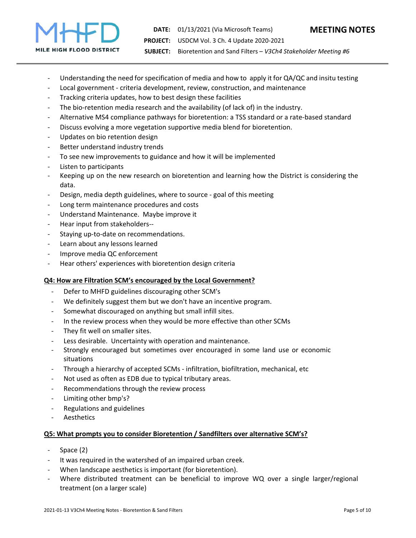

- Understanding the need for specification of media and how to apply it for QA/QC and insitu testing
- ‐ Local government ‐ criteria development, review, construction, and maintenance
- ‐ Tracking criteria updates, how to best design these facilities
- The bio-retention media research and the availability (of lack of) in the industry.
- ‐ Alternative MS4 compliance pathways for bioretention: a TSS standard or a rate‐based standard
- ‐ Discuss evolving a more vegetation supportive media blend for bioretention.
- ‐ Updates on bio retention design
- ‐ Better understand industry trends
- To see new improvements to guidance and how it will be implemented
- ‐ Listen to participants
- ‐ Keeping up on the new research on bioretention and learning how the District is considering the data.
- ‐ Design, media depth guidelines, where to source ‐ goal of this meeting
- ‐ Long term maintenance procedures and costs
- ‐ Understand Maintenance. Maybe improve it
- ‐ Hear input from stakeholders‐‐
- Staying up-to-date on recommendations.
- Learn about any lessons learned
- ‐ Improve media QC enforcement
- ‐ Hear others' experiences with bioretention design criteria

#### **Q4: How are Filtration SCM's encouraged by the Local Government?**

- ‐ Defer to MHFD guidelines discouraging other SCM's
- We definitely suggest them but we don't have an incentive program.
- ‐ Somewhat discouraged on anything but small infill sites.
- In the review process when they would be more effective than other SCMs
- ‐ They fit well on smaller sites.
- Less desirable. Uncertainty with operation and maintenance.
- ‐ Strongly encouraged but sometimes over encouraged in some land use or economic situations
- ‐ Through a hierarchy of accepted SCMs ‐ infiltration, biofiltration, mechanical, etc
- Not used as often as EDB due to typical tributary areas.
- ‐ Recommendations through the review process
- ‐ Limiting other bmp's?
- ‐ Regulations and guidelines
- **Aesthetics**

#### **Q5: What prompts you to consider Bioretention / Sandfilters over alternative SCM's?**

- ‐ Space (2)
- It was required in the watershed of an impaired urban creek.
- When landscape aesthetics is important (for bioretention).
- Where distributed treatment can be beneficial to improve WQ over a single larger/regional treatment (on a larger scale)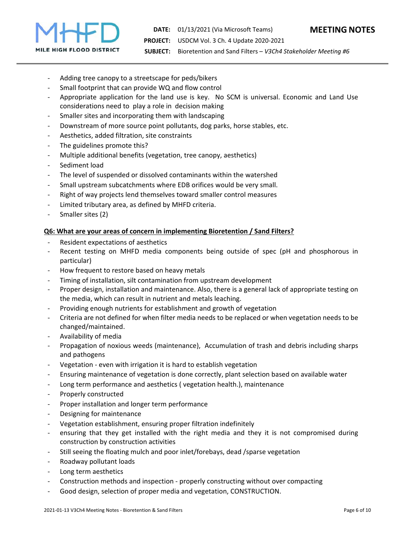

- Adding tree canopy to a streetscape for peds/bikers
- Small footprint that can provide WQ and flow control
- Appropriate application for the land use is key. No SCM is universal. Economic and Land Use considerations need to play a role in decision making
- Smaller sites and incorporating them with landscaping
- ‐ Downstream of more source point pollutants, dog parks, horse stables, etc.
- ‐ Aesthetics, added filtration, site constraints
- The guidelines promote this?
- ‐ Multiple additional benefits (vegetation, tree canopy, aesthetics)
- Sediment load
- The level of suspended or dissolved contaminants within the watershed
- ‐ Small upstream subcatchments where EDB orifices would be very small.
- ‐ Right of way projects lend themselves toward smaller control measures
- ‐ Limited tributary area, as defined by MHFD criteria.
- Smaller sites (2)

#### **Q6: What are your areas of concern in implementing Bioretention / Sand Filters?**

- ‐ Resident expectations of aesthetics
- Recent testing on MHFD media components being outside of spec (pH and phosphorous in particular)
- ‐ How frequent to restore based on heavy metals
- ‐ Timing of installation, silt contamination from upstream development
- ‐ Proper design, installation and maintenance. Also, there is a general lack of appropriate testing on the media, which can result in nutrient and metals leaching.
- ‐ Providing enough nutrients for establishment and growth of vegetation
- ‐ Criteria are not defined for when filter media needs to be replaced or when vegetation needs to be changed/maintained.
- ‐ Availability of media
- ‐ Propagation of noxious weeds (maintenance), Accumulation of trash and debris including sharps and pathogens
- ‐ Vegetation ‐ even with irrigation it is hard to establish vegetation
- ‐ Ensuring maintenance of vegetation is done correctly, plant selection based on available water
- Long term performance and aesthetics (vegetation health.), maintenance
- ‐ Properly constructed
- ‐ Proper installation and longer term performance
- ‐ Designing for maintenance
- ‐ Vegetation establishment, ensuring proper filtration indefinitely
- ensuring that they get installed with the right media and they it is not compromised during construction by construction activities
- Still seeing the floating mulch and poor inlet/forebays, dead /sparse vegetation
- ‐ Roadway pollutant loads
- ‐ Long term aesthetics
- ‐ Construction methods and inspection ‐ properly constructing without over compacting
- ‐ Good design, selection of proper media and vegetation, CONSTRUCTION.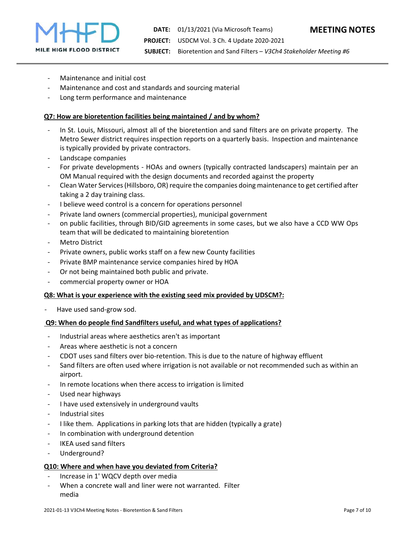

- ‐ Maintenance and initial cost
- Maintenance and cost and standards and sourcing material
- ‐ Long term performance and maintenance

#### **Q7: How are bioretention facilities being maintained / and by whom?**

- In St. Louis, Missouri, almost all of the bioretention and sand filters are on private property. The Metro Sewer district requires inspection reports on a quarterly basis. Inspection and maintenance is typically provided by private contractors.
- ‐ Landscape companies
- For private developments HOAs and owners (typically contracted landscapers) maintain per an OM Manual required with the design documents and recorded against the property
- ‐ Clean Water Services (Hillsboro, OR) require the companies doing maintenance to get certified after taking a 2 day training class.
- ‐ I believe weed control is a concern for operations personnel
- ‐ Private land owners (commercial properties), municipal government
- ‐ on public facilities, through BID/GID agreements in some cases, but we also have a CCD WW Ops team that will be dedicated to maintaining bioretention
- **Metro District**
- ‐ Private owners, public works staff on a few new County facilities
- ‐ Private BMP maintenance service companies hired by HOA
- Or not being maintained both public and private.
- ‐ commercial property owner or HOA

#### **Q8: What is your experience with the existing seed mix provided by UDSCM?:**

‐ Have used sand‐grow sod.

#### **Q9: When do people find Sandfilters useful, and what types of applications?**

- ‐ Industrial areas where aesthetics aren't as important
- ‐ Areas where aesthetic is not a concern
- ‐ CDOT uses sand filters over bio‐retention. This is due to the nature of highway effluent
- Sand filters are often used where irrigation is not available or not recommended such as within an airport.
- In remote locations when there access to irrigation is limited
- ‐ Used near highways
- ‐ I have used extensively in underground vaults
- ‐ Industrial sites
- ‐ I like them. Applications in parking lots that are hidden (typically a grate)
- In combination with underground detention
- ‐ IKEA used sand filters
- ‐ Underground?

#### **Q10: Where and when have you deviated from Criteria?**

- ‐ Increase in 1' WQCV depth over media
- When a concrete wall and liner were not warranted. Filter media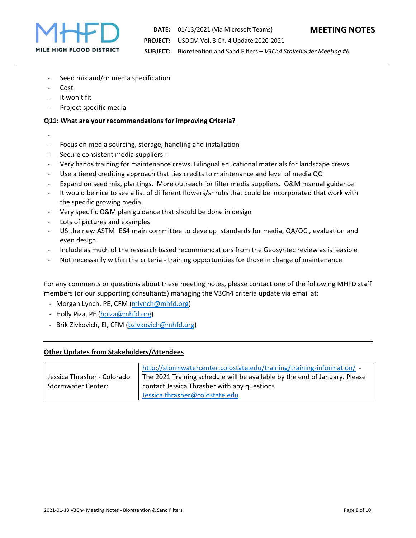

- Seed mix and/or media specification
- ‐ Cost
- ‐ It won't fit
- ‐ Project specific media

#### **Q11: What are your recommendations for improving Criteria?**

- ‐
- ‐ Focus on media sourcing, storage, handling and installation
- ‐ Secure consistent media suppliers‐‐
- ‐ Very hands training for maintenance crews. Bilingual educational materials for landscape crews
- Use a tiered crediting approach that ties credits to maintenance and level of media QC
- ‐ Expand on seed mix, plantings. More outreach for filter media suppliers. O&M manual guidance
- It would be nice to see a list of different flowers/shrubs that could be incorporated that work with the specific growing media.
- ‐ Very specific O&M plan guidance that should be done in design
- ‐ Lots of pictures and examples
- US the new ASTM E64 main committee to develop standards for media, QA/QC, evaluation and even design
- ‐ Include as much of the research based recommendations from the Geosyntec review as is feasible
- Not necessarily within the criteria training opportunities for those in charge of maintenance

For any comments or questions about these meeting notes, please contact one of the following MHFD staff members (or our supporting consultants) managing the V3Ch4 criteria update via email at:

- ‐ Morgan Lynch, PE, CFM (mlynch@mhfd.org)
- ‐ Holly Piza, PE (hpiza@mhfd.org)
- ‐ Brik Zivkovich, EI, CFM (bzivkovich@mhfd.org)

#### **Other Updates from Stakeholders/Attendees**

|                             | http://stormwatercenter.colostate.edu/training/training-information/ -     |
|-----------------------------|----------------------------------------------------------------------------|
| Jessica Thrasher - Colorado | The 2021 Training schedule will be available by the end of January. Please |
| <b>Stormwater Center:</b>   | contact Jessica Thrasher with any questions                                |
|                             | Jessica.thrasher@colostate.edu                                             |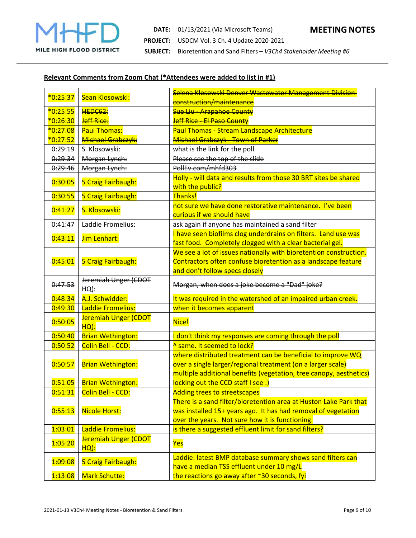

**DATE:**  01/13/2021 (Via Microsoft Teams) **MEETING NOTES PROJECT:**  USDCM Vol. 3 Ch. 4 Update 2020‐2021 **SUBJECT:**  Bioretention and Sand Filters – *V3Ch4 Stakeholder Meeting #6*

## **Relevant Comments from Zoom Chat (\*Attendees were added to list in #1)**

| $*0:25:37$ | Sean Klosowski:                 | Selena Klosowski Denver Wastewater Management Division-                                                                                                                                          |
|------------|---------------------------------|--------------------------------------------------------------------------------------------------------------------------------------------------------------------------------------------------|
|            |                                 | construction/maintenance                                                                                                                                                                         |
| $*0:25:55$ | HEDC62:                         | Sue Liu - Arapahoe County                                                                                                                                                                        |
| $*0:26:30$ | Jeff Rice:                      | Jeff Rice - El Paso County                                                                                                                                                                       |
| $*0:27:08$ | <b>Paul Thomas:</b>             | Paul Thomas - Stream Landscape Architecture                                                                                                                                                      |
| $*0:27:52$ | Michael Grabczyk:               | Michael Grabczyk - Town of Parker                                                                                                                                                                |
| 0:29:19    | S. Klosowski:                   | what is the link for the poll                                                                                                                                                                    |
| 0:29:34    | Morgan Lynch:                   | Please see the top of the slide                                                                                                                                                                  |
| 0:29:46    | Morgan Lynch:                   | PollEv.com/mhfd303                                                                                                                                                                               |
| 0:30:05    | 5 Craig Fairbaugh:              | Holly - will data and results from those 30 BRT sites be shared<br>with the public?                                                                                                              |
| 0:30:55    | 5 Craig Fairbaugh:              | Thanks!                                                                                                                                                                                          |
| 0:41:27    | S. Klosowski:                   | not sure we have done restorative maintenance. I've been<br>curious if we should have                                                                                                            |
| 0:41:47    | Laddie Fromelius:               | ask again if anyone has maintained a sand filter                                                                                                                                                 |
| 0:43:11    | Jim Lenhart:                    | I have seen biofilms clog underdrains on filters. Land use was<br>fast food. Completely clogged with a clear bacterial gel.                                                                      |
| 0:45:01    | 5 Craig Fairbaugh:              | We see a lot of issues nationally with bioretention construction.<br>Contractors often confuse bioretention as a landscape feature<br>and don't follow specs closely                             |
| 0:47:53    | Jeremiah Unger (CDOT<br>$HQ)$ : | Morgan, when does a joke become a "Dad" joke?                                                                                                                                                    |
| 0:48:34    | A.J. Schwidder:                 | It was required in the watershed of an impaired urban creek.                                                                                                                                     |
| 0:49:30    | Laddie Fromelius:               | when it becomes apparent                                                                                                                                                                         |
| 0:50:05    | Jeremiah Unger (CDOT<br>$HO)$ : | Nice!                                                                                                                                                                                            |
| 0:50:40    | <b>Brian Wethington:</b>        | I don't think my responses are coming through the poll                                                                                                                                           |
| 0:50:52    | Colin Bell - CCD:               | <sup>^</sup> same. It seemed to lock?                                                                                                                                                            |
| 0:50:57    | <b>Brian Wethington:</b>        | where distributed treatment can be beneficial to improve WQ<br>over a single larger/regional treatment (on a larger scale)<br>multiple additional benefits (vegetation, tree canopy, aesthetics) |
| 0:51:05    | <b>Brian Wethington:</b>        | locking out the CCD staff I see :)                                                                                                                                                               |
|            | 0:51:31   Colin Bell - CCD:     | <b>Adding trees to streetscapes</b>                                                                                                                                                              |
| 0:55:13    | <b>Nicole Horst:</b>            | There is a sand filter/bioretention area at Huston Lake Park that<br>was installed 15+ years ago. It has had removal of vegetation<br>over the years. Not sure how it is functioning.            |
| 1:03:01    | Laddie Fromelius:               | is there a suggested effluent limit for sand filters?                                                                                                                                            |
| 1:05:20    | Jeremiah Unger (CDOT<br>HQ):    | Yes                                                                                                                                                                                              |
| 1:09:08    | 5 Craig Fairbaugh:              | Laddie: latest BMP database summary shows sand filters can<br>have a median TSS effluent under 10 mg/L                                                                                           |
| 1:13:08    | <b>Mark Schutte:</b>            | the reactions go away after ~30 seconds, fyi                                                                                                                                                     |